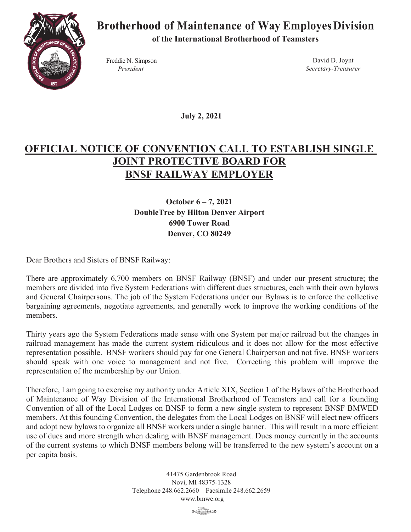

## **Brotherhood of Maintenance of Way EmployesDivision**

**of the International Brotherhood of Teamsters**

Freddie N. Simpson *President*

David D. Joynt *Secretary-Treasurer*

 **July 2, 2021**

## **OFFICIAL NOTICE OF CONVENTION CALL TO ESTABLISH SINGLE JOINT PROTECTIVE BOARD FOR BNSF RAILWAY EMPLOYER**

**October 6 – 7, 2021 DoubleTree by Hilton Denver Airport 6900 Tower Road Denver, CO 80249**

Dear Brothers and Sisters of BNSF Railway:

There are approximately 6,700 members on BNSF Railway (BNSF) and under our present structure; the members are divided into five System Federations with different dues structures, each with their own bylaws and General Chairpersons. The job of the System Federations under our Bylaws is to enforce the collective bargaining agreements, negotiate agreements, and generally work to improve the working conditions of the members.

Thirty years ago the System Federations made sense with one System per major railroad but the changes in railroad management has made the current system ridiculous and it does not allow for the most effective representation possible. BNSF workers should pay for one General Chairperson and not five. BNSF workers should speak with one voice to management and not five. Correcting this problem will improve the representation of the membership by our Union.

Therefore, I am going to exercise my authority under Article XIX, Section 1 of the Bylaws of the Brotherhood of Maintenance of Way Division of the International Brotherhood of Teamsters and call for a founding Convention of all of the Local Lodges on BNSF to form a new single system to represent BNSF BMWED members. At this founding Convention, the delegates from the Local Lodges on BNSF will elect new officers and adopt new bylaws to organize all BNSF workers under a single banner. This will result in a more efficient use of dues and more strength when dealing with BNSF management. Dues money currently in the accounts of the current systems to which BNSF members belong will be transferred to the new system's account on a per capita basis.

> 41475 Gardenbrook Road Novi, MI 48375-1328 Telephone 248.662.2660 Facsimile 248.662.2659 www.bmwe.org

**B** TRADES (200 ROCKEL) 210